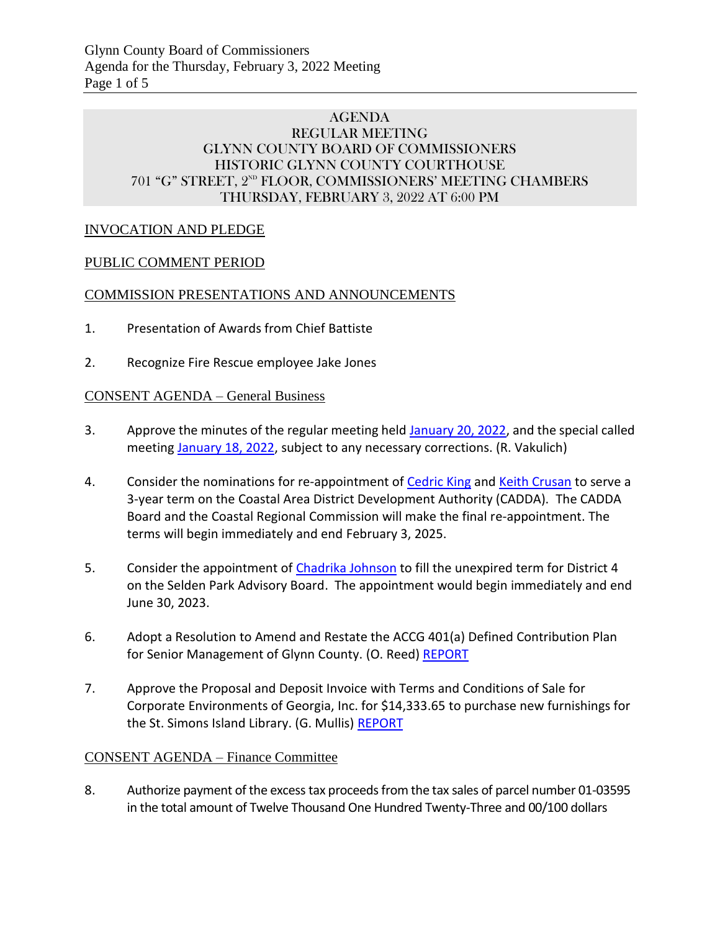## AGENDA REGULAR MEETING GLYNN COUNTY BOARD OF COMMISSIONERS HISTORIC GLYNN COUNTY COURTHOUSE 701 "G" STREET, 2<sup>ND</sup> FLOOR, COMMISSIONERS' MEETING CHAMBERS THURSDAY, FEBRUARY 3, 2022 AT 6:00 PM

## INVOCATION AND PLEDGE

## PUBLIC COMMENT PERIOD

#### COMMISSION PRESENTATIONS AND ANNOUNCEMENTS

- 1. Presentation of Awards from Chief Battiste
- 2. Recognize Fire Rescue employee Jake Jones

#### CONSENT AGENDA – General Business

- 3. Approve the minutes of the regular meeting held [January 20, 2022,](https://glynncounty.org/DocumentCenter/View/74461/January-20-2022) and the special called meeting [January 18, 2022,](https://glynncounty.org/DocumentCenter/View/74462/January-18-2022-SC) subject to any necessary corrections. (R. Vakulich)
- 4. Consider the nominations for re-appointment of [Cedric King](https://glynncounty.org/DocumentCenter/View/74439/Cedric-King_Redacted) and [Keith Crusan](https://glynncounty.org/DocumentCenter/View/74440/Keith-Crusan-Redacted) to serve a 3-year term on the Coastal Area District Development Authority (CADDA). The CADDA Board and the Coastal Regional Commission will make the final re-appointment. The terms will begin immediately and end February 3, 2025.
- 5. Consider the appointment of [Chadrika Johnson](https://glynncounty.org/DocumentCenter/View/74435/CJohnson-Letter_Redacted) to fill the unexpired term for District 4 on the Selden Park Advisory Board. The appointment would begin immediately and end June 30, 2023.
- 6. Adopt a Resolution to Amend and Restate the ACCG 401(a) Defined Contribution Plan for Senior Management of Glynn County. (O. Reed[\) REPORT](https://glynncounty.org/DocumentCenter/View/74458/REINSTAEMENT-OF-401A-PLAN-FOR-SENIOR-MANAGEMENT)
- 7. Approve the Proposal and Deposit Invoice with Terms and Conditions of Sale for Corporate Environments of Georgia, Inc. for \$14,333.65 to purchase new furnishings for the St. Simons Island Library. (G. Mullis) [REPORT](https://glynncounty.org/DocumentCenter/View/74463/Combined-memo-and-Deposit-Invoice)

#### CONSENT AGENDA – Finance Committee

8. Authorize payment of the excesstax proceeds from the tax sales of parcel number 01-03595 in the total amount of Twelve Thousand One Hundred Twenty-Three and 00/100 dollars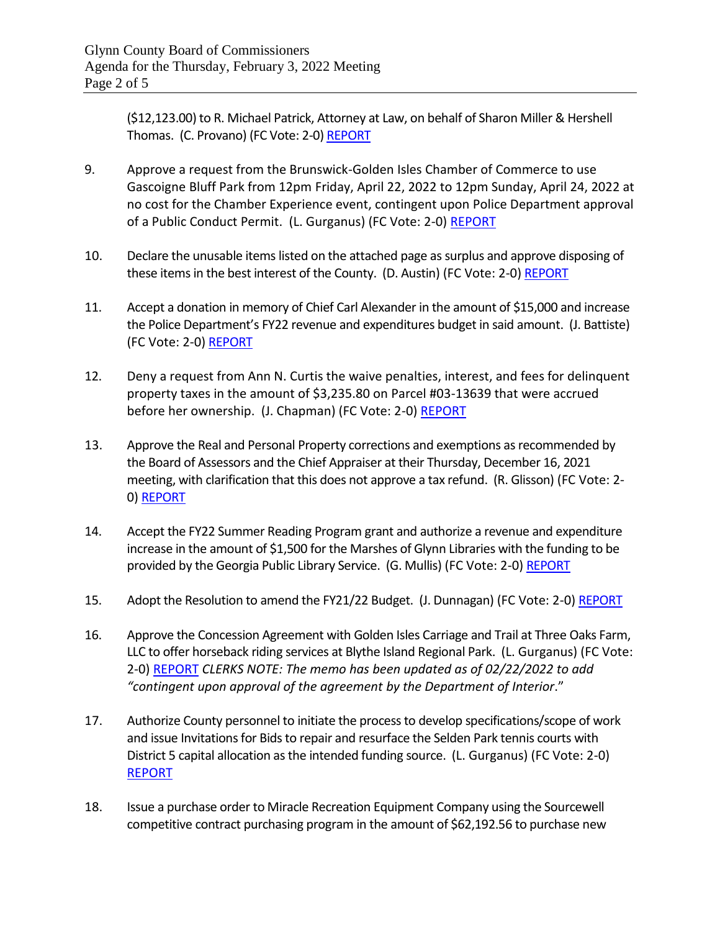(\$12,123.00) to R. Michael Patrick, Attorney at Law, on behalf of Sharon Miller & Hershell Thomas. (C. Provano) (FC Vote: 2-0) [REPORT](https://www.glynncounty.org/DocumentCenter/View/74323/MEMO---Excess-funds-01-03595)

- 9. Approve a request from the Brunswick-Golden Isles Chamber of Commerce to use Gascoigne Bluff Park from 12pm Friday, April 22, 2022 to 12pm Sunday, April 24, 2022 at no cost for the Chamber Experience event, contingent upon Police Department approval of a Public Conduct Permit. (L. Gurganus) (FC Vote: 2-0) [REPORT](https://www.glynncounty.org/DocumentCenter/View/74324/MEMO---Fee-Waiver-for-2022-Chamber-Experience-at-Gascoigne-Bluff)
- 10. Declare the unusable items listed on the attached page as surplus and approve disposing of these items in the best interest of the County. (D. Austin) (FC Vote: 2-0) [REPORT](https://www.glynncounty.org/DocumentCenter/View/74329/MEMO---Surplus-Property-Disposal-3-Jan-22)
- 11. Accept a donation in memory of Chief Carl Alexander in the amount of \$15,000 and increase the Police Department's FY22 revenue and expenditures budget in said amount. (J. Battiste) (FC Vote: 2-0) REPORT
- 12. Deny a request from Ann N. Curtis the waive penalties, interest, and fees for delinquent property taxes in the amount of \$3,235.80 on Parcel #03-13639 that were accrued before her ownership. (J. Chapman) (FC Vote: 2-0[\) REPORT](https://www.glynncounty.org/DocumentCenter/View/74330/MEMO---TC---Curtis-A-Redacted-11-2021_Redacted)
- 13. Approve the Real and Personal Property corrections and exemptions as recommended by the Board of Assessors and the Chief Appraiser at their Thursday, December 16, 2021 meeting, with clarification that this does not approve a tax refund. (R. Glisson) (FC Vote: 2- 0) [REPORT](https://www.glynncounty.org/DocumentCenter/View/74318/BOA-ITEMS-FOR-FINANCE-COMMITTEE-FROM-12-16-2021)
- 14. Accept the FY22 Summer Reading Program grant and authorize a revenue and expenditure increase in the amount of \$1,500 for the Marshes of Glynn Libraries with the funding to be provided by the Georgia Public Library Service. (G. Mullis) (FC Vote: 2-0) [REPORT](https://www.glynncounty.org/DocumentCenter/View/74333/MEMO---FY22-Budget-Increase-Request-of-1500-for-the-FY22-Summer-Reading-Program-from-Georgia-Public-Library-Service)
- 15. Adopt the Resolution to amend the FY21/22 Budget. (J. Dunnagan) (FC Vote: 2-0) [REPORT](https://www.glynncounty.org/DocumentCenter/View/74336/MEMO---Budget-Resolution---FY22)
- 16. Approve the Concession Agreement with Golden Isles Carriage and Trail at Three Oaks Farm, LLC to offer horseback riding services at Blythe Island Regional Park. (L. Gurganus) (FC Vote: 2-0) [REPORT](https://www.glynncounty.org/DocumentCenter/View/74334/MEMO---Horseback-Riding-Concession-Agreement) *CLERKS NOTE: The memo has been updated as of 02/22/2022 to add "contingent upon approval of the agreement by the Department of Interior*."
- 17. Authorize County personnel to initiate the process to develop specifications/scope of work and issue Invitations for Bids to repair and resurface the Selden Park tennis courts with District 5 capital allocation as the intended funding source. (L. Gurganus) (FC Vote: 2-0) [REPORT](https://www.glynncounty.org/DocumentCenter/View/74326/MEMO---Initiate-the-Process-for-Bids-for-Selden-Park-Tennis-Courts)
- 18. Issue a purchase order to Miracle Recreation Equipment Company using the Sourcewell competitive contract purchasing program in the amount of \$62,192.56 to purchase new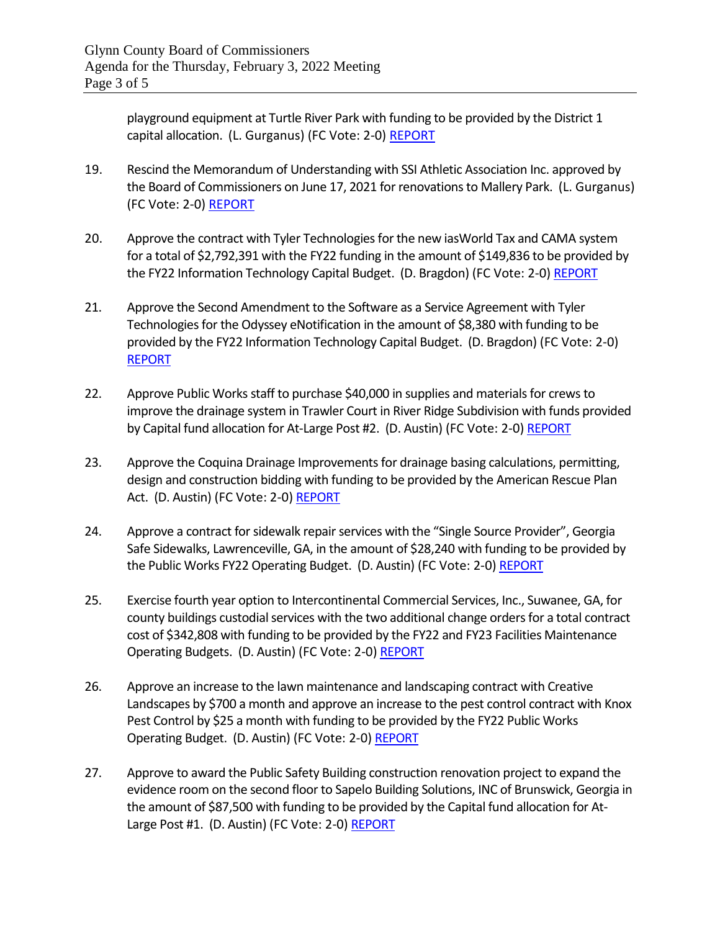playground equipment at Turtle River Park with funding to be provided by the District 1 capital allocation. (L. Gurganus) (FC Vote: 2-0) [REPORT](https://www.glynncounty.org/DocumentCenter/View/74327/MEMO---PO-for-Turtle-River-Park-playground)

- 19. Rescind the Memorandum of Understanding with SSI Athletic Association Inc. approved by the Board of Commissioners on June 17, 2021 for renovations to Mallery Park. (L. Gurganus) (FC Vote: 2-0) [REPORT](https://www.glynncounty.org/DocumentCenter/View/74328/MEMO---Rescind-MOU-with-SSI-Athletic-Association-Inc)
- 20. Approve the contract with Tyler Technologies for the new iasWorld Tax and CAMA system for a total of \$2,792,391 with the FY22 funding in the amount of \$149,836 to be provided by the FY22 Information Technology Capital Budget. (D. Bragdon) (FC Vote: 2-0) [REPORT](https://www.glynncounty.org/DocumentCenter/View/74325/MEMO---IAS-World-TaX-and-CAMA-system)
- 21. Approve the Second Amendment to the Software as a Service Agreement with Tyler Technologies for the Odyssey eNotification in the amount of \$8,380 with funding to be provided by the FY22 Information Technology Capital Budget. (D. Bragdon) (FC Vote: 2-0) [REPORT](https://www.glynncounty.org/DocumentCenter/View/74332/MEMO---Tyler-e-Notification)
- 22. Approve Public Works staff to purchase \$40,000 in supplies and materials for crews to improve the drainage system in Trawler Court in River Ridge Subdivision with funds provided by Capital fund allocation for At-Large Post #2. (D. Austin) (FC Vote: 2-0) [REPORT](https://www.glynncounty.org/DocumentCenter/View/74331/MEMO---Trawler-Court---River-Ridge-materials-for-in-house-construction)
- 23. Approve the Coquina Drainage Improvements for drainage basing calculations, permitting, design and construction bidding with funding to be provided by the American Rescue Plan Act. (D. Austin) (FC Vote: 2-0) [REPORT](https://www.glynncounty.org/DocumentCenter/View/74320/MEMO---Coquina-Drainage-project-for-the-American-Rescue-Act-Funding)
- 24. Approve a contract for sidewalk repair services with the "Single Source Provider", Georgia Safe Sidewalks, Lawrenceville, GA, in the amount of \$28,240 with funding to be provided by the Public Works FY22 Operating Budget. (D. Austin) (FC Vote: 2-0) [REPORT](https://www.glynncounty.org/DocumentCenter/View/74319/MEMO---2022-Sidewalk-Repair)
- 25. Exercise fourth year option to Intercontinental Commercial Services, Inc., Suwanee, GA, for county buildings custodial services with the two additional change orders for a total contract cost of \$342,808 with funding to be provided by the FY22 and FY23 Facilities Maintenance Operating Budgets. (D. Austin) (FC Vote: 2-0) [REPORT](https://www.glynncounty.org/DocumentCenter/View/74321/MEMO---Custodial-Services-FY23)
- 26. Approve an increase to the lawn maintenance and landscaping contract with Creative Landscapes by \$700 a month and approve an increase to the pest control contract with Knox Pest Control by \$25 a month with funding to be provided by the FY22 Public Works Operating Budget. (D. Austin) (FC Vote: 2-0) [REPORT](https://www.glynncounty.org/DocumentCenter/View/74374/MEMO---Contract-changes-to-support-the-new-Animal-Services-building-002)
- 27. Approve to award the Public Safety Building construction renovation project to expand the evidence room on the second floor to Sapelo Building Solutions, INC of Brunswick, Georgia in the amount of \$87,500 with funding to be provided by the Capital fund allocation for At-Large Post #1. (D. Austin) (FC Vote: 2-0) [REPORT](https://www.glynncounty.org/DocumentCenter/View/74393/MEMO---Public-Safety-Building-Construction-bid)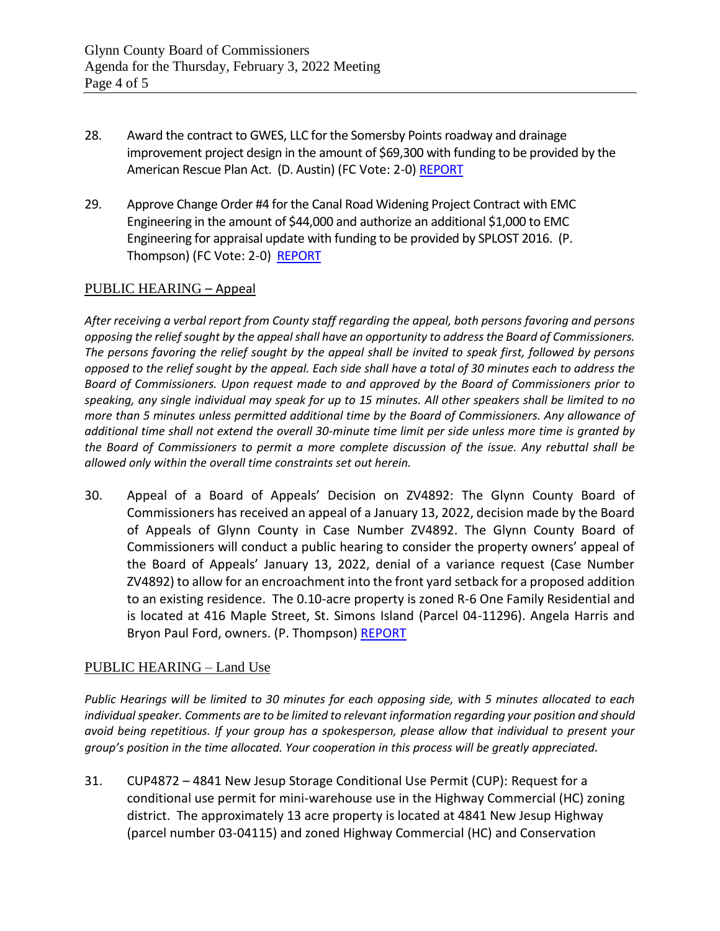- 28. Award the contract to GWES, LLC for the Somersby Points roadway and drainage improvement project design in the amount of \$69,300 with funding to be provided by the American Rescue Plan Act. (D. Austin) (FC Vote: 2-0) [REPORT](https://www.glynncounty.org/DocumentCenter/View/74394/MEMO---American-Rescue-Act-Somersby-Points-roadway-and-drainage-improvement-project-12122)
- 29. Approve Change Order #4 for the Canal Road Widening Project Contract with EMC Engineering in the amount of \$44,000 and authorize an additional \$1,000 to EMC Engineering for appraisal update with funding to be provided by SPLOST 2016. (P. Thompson) (FC Vote: 2-0) [REPORT](https://www.glynncounty.org/DocumentCenter/View/74373/MEMO---Canal-Road-Canal-Road-Re-route-CO4-20jan2022)

## PUBLIC HEARING – Appeal

*After receiving a verbal report from County staff regarding the appeal, both persons favoring and persons opposing the relief sought by the appeal shall have an opportunity to address the Board of Commissioners. The persons favoring the relief sought by the appeal shall be invited to speak first, followed by persons opposed to the relief sought by the appeal. Each side shall have a total of 30 minutes each to address the Board of Commissioners. Upon request made to and approved by the Board of Commissioners prior to speaking, any single individual may speak for up to 15 minutes. All other speakers shall be limited to no more than 5 minutes unless permitted additional time by the Board of Commissioners. Any allowance of additional time shall not extend the overall 30-minute time limit per side unless more time is granted by the Board of Commissioners to permit a more complete discussion of the issue. Any rebuttal shall be allowed only within the overall time constraints set out herein.*

30. Appeal of a Board of Appeals' Decision on ZV4892: The Glynn County Board of Commissioners has received an appeal of a January 13, 2022, decision made by the Board of Appeals of Glynn County in Case Number ZV4892. The Glynn County Board of Commissioners will conduct a public hearing to consider the property owners' appeal of the Board of Appeals' January 13, 2022, denial of a variance request (Case Number ZV4892) to allow for an encroachment into the front yard setback for a proposed addition to an existing residence. The 0.10-acre property is zoned R-6 One Family Residential and is located at 416 Maple Street, St. Simons Island (Parcel 04-11296). Angela Harris and Bryon Paul Ford, owners. (P. Thompson[\) REPORT](https://glynncounty.org/DocumentCenter/View/74450/ZV4892-Appeal---PACKET)

#### PUBLIC HEARING – Land Use

*Public Hearings will be limited to 30 minutes for each opposing side, with 5 minutes allocated to each individual speaker. Comments are to be limited to relevant information regarding your position and should avoid being repetitious. If your group has a spokesperson, please allow that individual to present your group's position in the time allocated. Your cooperation in this process will be greatly appreciated.*

31. CUP4872 – 4841 New Jesup Storage Conditional Use Permit (CUP): Request for a conditional use permit for mini-warehouse use in the Highway Commercial (HC) zoning district. The approximately 13 acre property is located at 4841 New Jesup Highway (parcel number 03-04115) and zoned Highway Commercial (HC) and Conservation